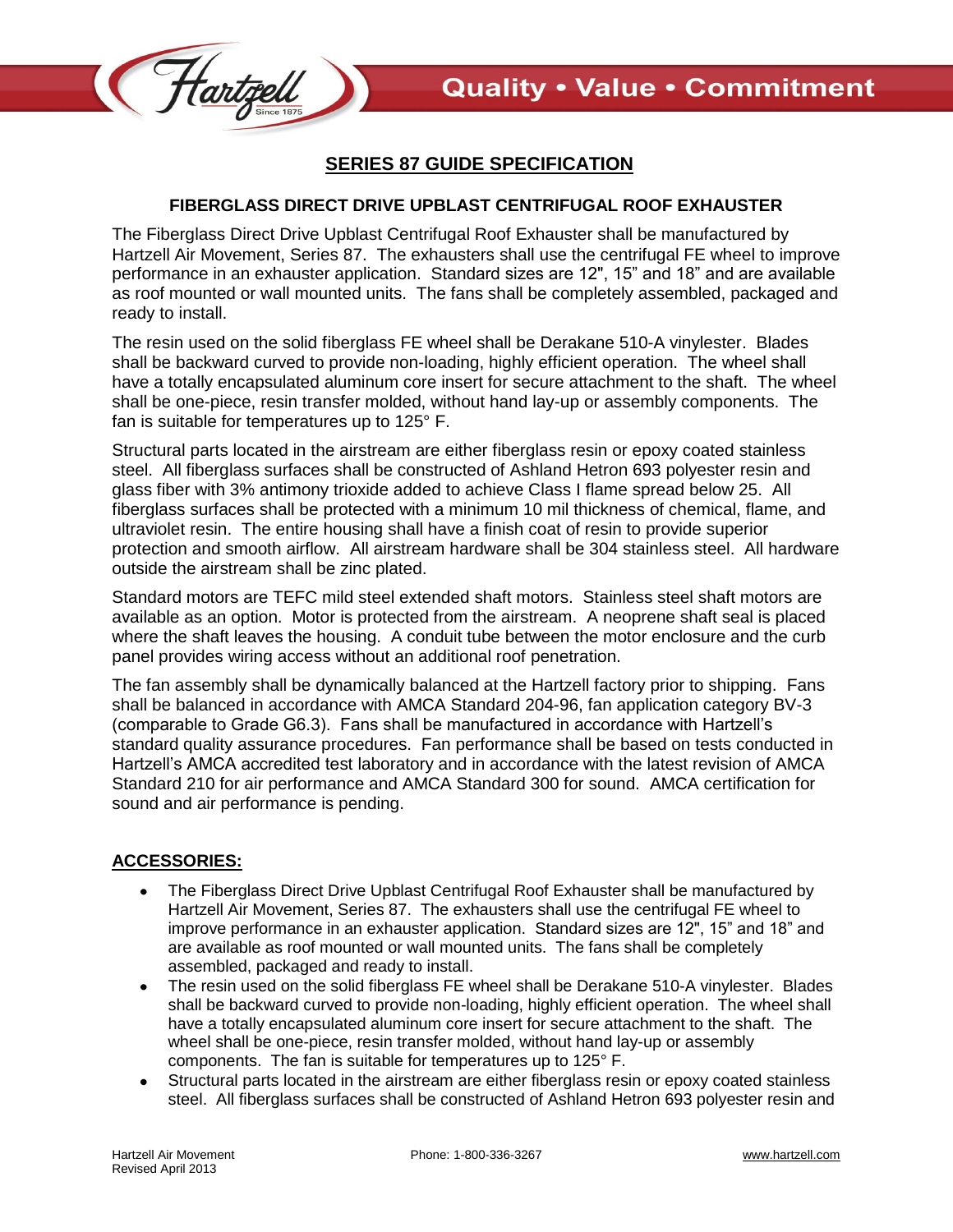

## **SERIES 87 GUIDE SPECIFICATION**

## **FIBERGLASS DIRECT DRIVE UPBLAST CENTRIFUGAL ROOF EXHAUSTER**

The Fiberglass Direct Drive Upblast Centrifugal Roof Exhauster shall be manufactured by Hartzell Air Movement, Series 87. The exhausters shall use the centrifugal FE wheel to improve performance in an exhauster application. Standard sizes are 12", 15" and 18" and are available as roof mounted or wall mounted units. The fans shall be completely assembled, packaged and ready to install.

The resin used on the solid fiberglass FE wheel shall be Derakane 510-A vinylester. Blades shall be backward curved to provide non-loading, highly efficient operation. The wheel shall have a totally encapsulated aluminum core insert for secure attachment to the shaft. The wheel shall be one-piece, resin transfer molded, without hand lay-up or assembly components. The fan is suitable for temperatures up to 125° F.

Structural parts located in the airstream are either fiberglass resin or epoxy coated stainless steel. All fiberglass surfaces shall be constructed of Ashland Hetron 693 polyester resin and glass fiber with 3% antimony trioxide added to achieve Class I flame spread below 25. All fiberglass surfaces shall be protected with a minimum 10 mil thickness of chemical, flame, and ultraviolet resin. The entire housing shall have a finish coat of resin to provide superior protection and smooth airflow. All airstream hardware shall be 304 stainless steel. All hardware outside the airstream shall be zinc plated.

Standard motors are TEFC mild steel extended shaft motors. Stainless steel shaft motors are available as an option. Motor is protected from the airstream. A neoprene shaft seal is placed where the shaft leaves the housing. A conduit tube between the motor enclosure and the curb panel provides wiring access without an additional roof penetration.

The fan assembly shall be dynamically balanced at the Hartzell factory prior to shipping. Fans shall be balanced in accordance with AMCA Standard 204-96, fan application category BV-3 (comparable to Grade G6.3). Fans shall be manufactured in accordance with Hartzell's standard quality assurance procedures. Fan performance shall be based on tests conducted in Hartzell's AMCA accredited test laboratory and in accordance with the latest revision of AMCA Standard 210 for air performance and AMCA Standard 300 for sound. AMCA certification for sound and air performance is pending.

## **ACCESSORIES:**

- The Fiberglass Direct Drive Upblast Centrifugal Roof Exhauster shall be manufactured by Hartzell Air Movement, Series 87. The exhausters shall use the centrifugal FE wheel to improve performance in an exhauster application. Standard sizes are 12", 15" and 18" and are available as roof mounted or wall mounted units. The fans shall be completely assembled, packaged and ready to install.
- The resin used on the solid fiberglass FE wheel shall be Derakane 510-A vinylester. Blades  $\bullet$ shall be backward curved to provide non-loading, highly efficient operation. The wheel shall have a totally encapsulated aluminum core insert for secure attachment to the shaft. The wheel shall be one-piece, resin transfer molded, without hand lay-up or assembly components. The fan is suitable for temperatures up to 125° F.
- Structural parts located in the airstream are either fiberglass resin or epoxy coated stainless steel. All fiberglass surfaces shall be constructed of Ashland Hetron 693 polyester resin and